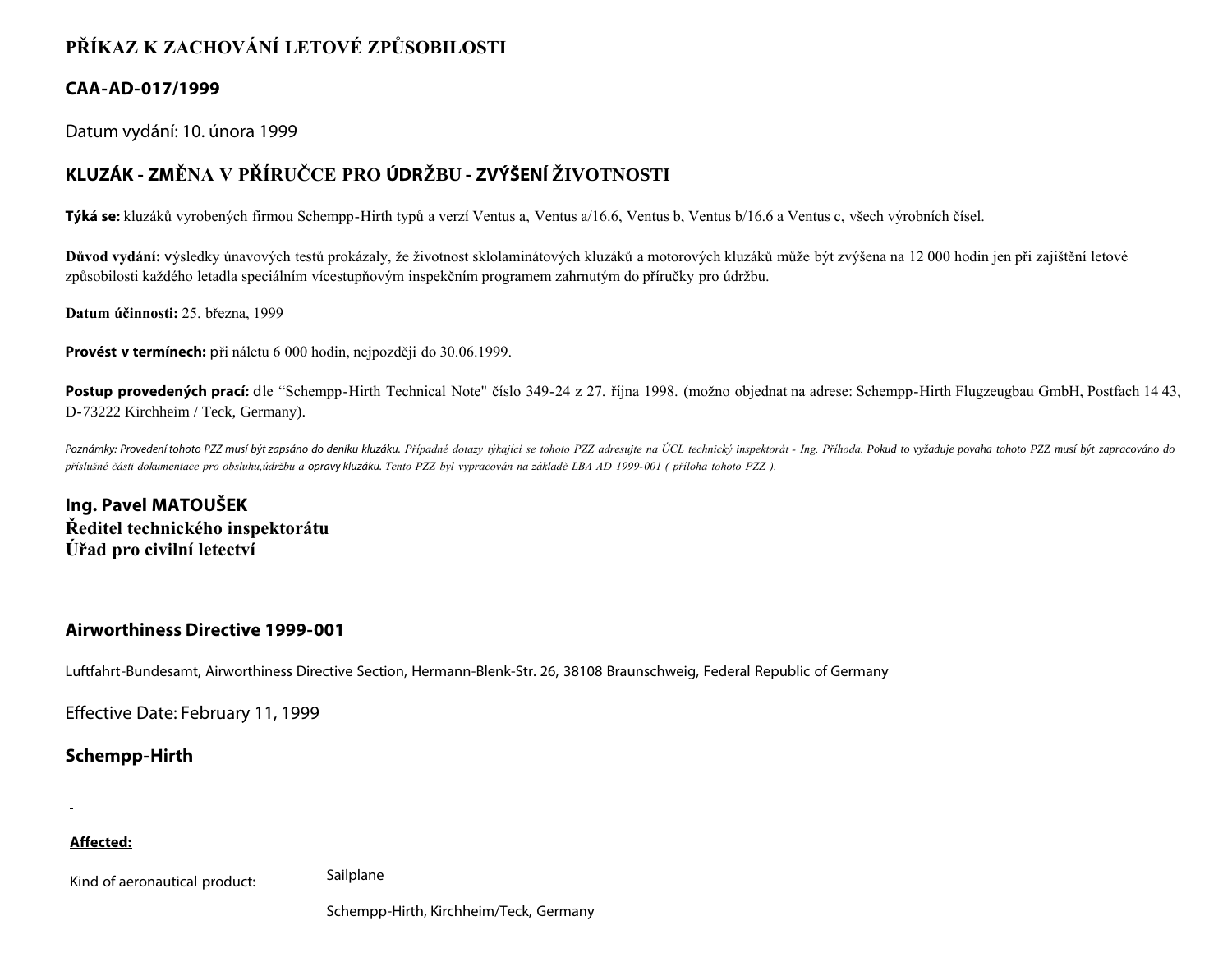# **PŘÍKAZ K ZACHOVÁNÍ LETOVÉ ZPŮSOBILOSTI**

# **CAA-AD-017/1999**

Datum vydání: 10. února 1999

# **KLUZÁK - ZMĚNA V PŘÍRUČCE PRO ÚDRŽBU - ZVÝŠENÍ ŽIVOTNOSTI**

**Týká se:** kluzáků vyrobených firmou Schempp-Hirth typů a verzí Ventus a, Ventus a/16.6, Ventus b, Ventus b/16.6 a Ventus c, všech výrobních čísel.

**Důvod vydání:** výsledky únavových testů prokázaly, že životnost sklolaminátových kluzáků a motorových kluzáků může být zvýšena na 12 000 hodin jen při zajištění letové způsobilosti každého letadla speciálním vícestupňovým inspekčním programem zahrnutým do příručky pro údržbu.

**Datum účinnosti:** 25. března, 1999

**Provést v termínech:** při náletu 6 000 hodin, nejpozději do 30.06.1999.

Postup provedených prací: dle "Schempp-Hirth Technical Note" číslo 349-24 z 27. října 1998. (možno objednat na adrese: Schempp-Hirth Flugzeugbau GmbH, Postfach 14 43, D-73222 Kirchheim / Teck, Germany).

Poznámky: Provedení tohoto PZZ musí být zapsáno do deníku kluzáku. Případné dotazy týkající se tohoto PZZ adresujte na ÚCL technický inspektorát - Ing. Příhoda. Pokud to vyžaduje povaha tohoto PZZ musí být zapracováno do *příslušné části dokumentace pro obsluhu,údržbu a opravy kluzáku. Tento PZZ byl vypracován na základě LBA AD 1999-001 ( příloha tohoto PZZ ).*

**Ing. Pavel MATOUŠEK Ředitel technického inspektorátu Úřad pro civilní letectví**

# **Airworthiness Directive 1999-001**

Luftfahrt-Bundesamt, Airworthiness Directive Section, Hermann-Blenk-Str. 26, 38108 Braunschweig, Federal Republic of Germany

Effective Date: February 11, 1999

# **Schempp-Hirth**

### **Affected:**

Kind of aeronautical product: Sailplane

Schempp-Hirth, Kirchheim/Teck, Germany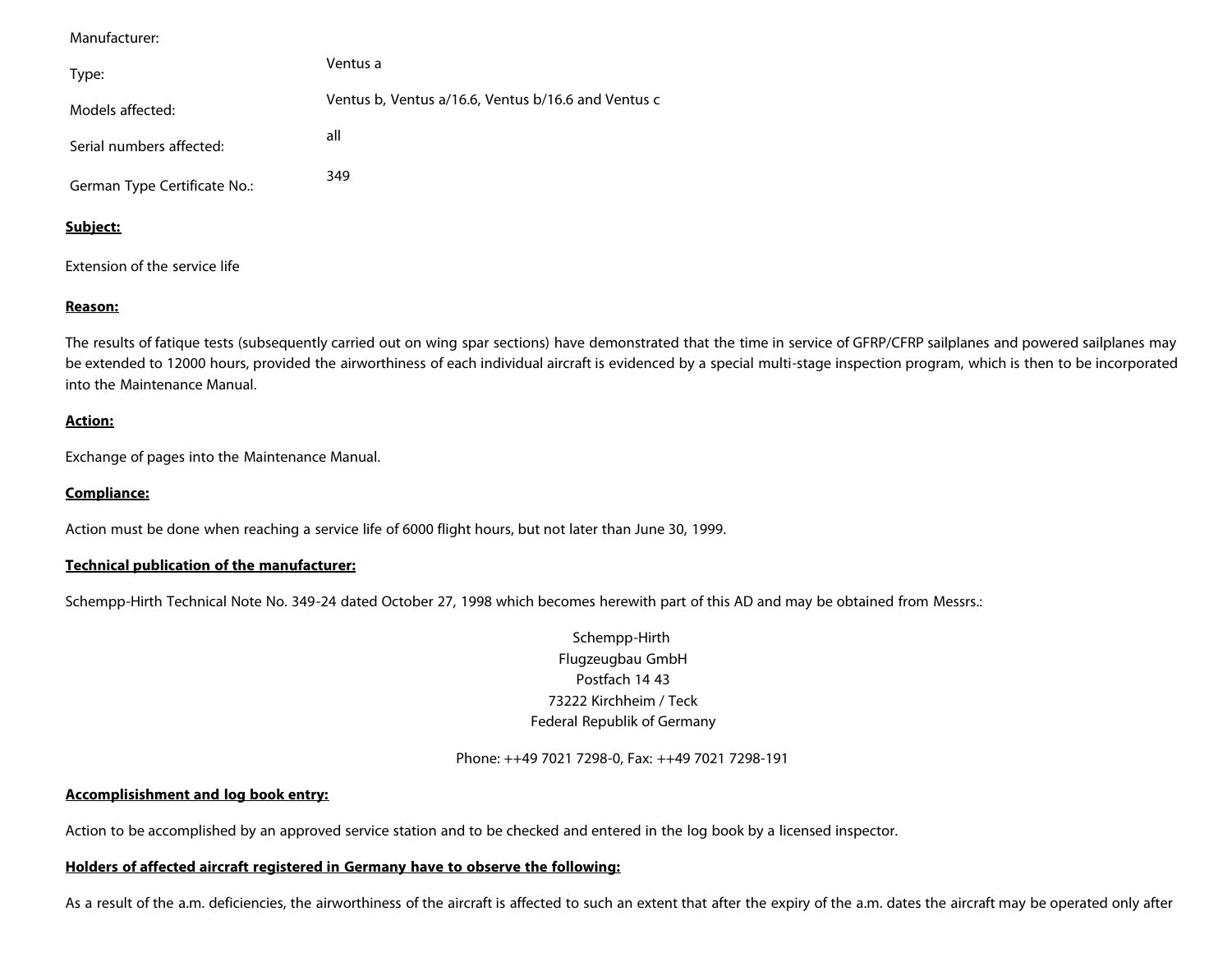Manufacturer:

| Type:                        | Ventus a                                            |
|------------------------------|-----------------------------------------------------|
| Models affected:             | Ventus b, Ventus a/16.6, Ventus b/16.6 and Ventus c |
| Serial numbers affected:     | all                                                 |
| German Type Certificate No.: | 349                                                 |

#### **Subject:**

Extension of the service life

#### **Reason:**

The results of fatique tests (subsequently carried out on wing spar sections) have demonstrated that the time in service of GFRP/CFRP sailplanes and powered sailplanes may be extended to 12000 hours, provided the airworthiness of each individual aircraft is evidenced by a special multi-stage inspection program, which is then to be incorporated into the Maintenance Manual.

#### **Action:**

Exchange of pages into the Maintenance Manual.

## **Compliance:**

Action must be done when reaching a service life of 6000 flight hours, but not later than June 30, 1999.

#### **Technical publication of the manufacturer:**

Schempp-Hirth Technical Note No. 349-24 dated October 27, 1998 which becomes herewith part of this AD and may be obtained from Messrs.:

## Schempp-Hirth Flugzeugbau GmbH Postfach 14 43 73222 Kirchheim / Teck Federal Republik of Germany

Phone: ++49 7021 7298-0, Fax: ++49 7021 7298-191

### **Accomplisishment and log book entry:**

Action to be accomplished by an approved service station and to be checked and entered in the log book by a licensed inspector.

#### **Holders of affected aircraft registered in Germany have to observe the following:**

As a result of the a.m. deficiencies, the airworthiness of the aircraft is affected to such an extent that after the expiry of the a.m. dates the aircraft may be operated only after